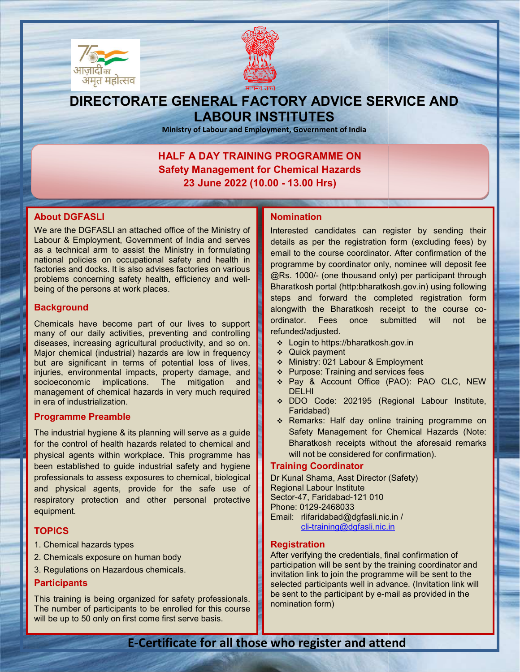



## DIRECTORATE GENERAL FACTORY ADVICE SERVICE AND LABOUR INSTITUTES

Ministry of Labour and Employment, Government of India

## HALF A DAY TRAINING PROGRAMME ON HALF A DAY TRAINING PROGRAMME ON<br>Safety Management for Chemical Hazards 23 June 2022 (10.00 - 13.00 Hrs)

## About DGFASLI

ׇ֠֕֜֡֡

We are the DGFASLI an attached office of the Ministry of We are the DGFASLI an attached office of the Ministry of<br>Labour & Employment, Government of India and serves as a technical arm to assist the Ministry in formulating national policies on occupational safety and health in factories and docks. It is also advises factories on various national policies on occupational safety and health in<br>factories and docks. It is also advises factories on various<br>problems concerning safety health, efficiency and wellbeing of the persons at work places.

## **Background**

Chemicals have become part of our lives to support many of our daily activities, preventing and controlling diseases, increasing agricultural productivity, and so on. Major chemical (industrial) hazards are low in frequency but are significant in terms of potential loss of lives, injuries, environmental impacts, property damage, and socioeconomic implications. The mitigation and management of chemical hazards in very much required<br>in era of industrialization.<br>**Programme Preamble**<br>The industrial hygiene & its planning will serve as a guide in era of industrialization. FACLI an attached office of the Ministry of<br>
Indication of proporment of India and serves<br>
details as performant of india and serves<br>
details as performant of india and serves<br>
details as a devises factories on various<br>
m

## Programme Preamble

The industrial hygiene & its planning will serve as a quide for the control of health hazards related to chemical and physical agents within workplace. This programme has been established to guide industrial safety and hygiene professionals to assess exposures to chemical, biological and physical agents, provide for the safe use of and physical agents, provide for the safe use of<br>respiratory protection and other personal protective equipment.

## **TOPICS**

- 1. Chemical hazards types
- 2. Chemicals exposure on human body
- 3. Regulations on Hazardous chemicals.

## **Participants**

This training is being organized for safety professionals. The number of participants to be enrolled for this course will be up to 50 only on first come first serve basis.

Interested candidates can register by sending their details as per the registration form (excluding fees) by email to the course coordinator. After confirmation of the programme by coordinator only, nominee @Rs. 1000/- (one thousand only) per participant through @Rs. 1000/- (one thousand only) per participant through<br>Bharatkosh portal (http:bharatkosh.gov.in) using following steps and forward the completed registration form alongwith the Bharatkosh receipt to the course coordinator. Fees once submitted will not be refunded/adjusted. and of the Momentation of the Momenta Certificate of the Minister who attend the propriet and the boostness of the boostness and the minister in the confirmation of the confirmation of the confirmation of the confirmation

- Login to https://bharatkosh.gov.in
- Quick payment
- ◆ Ministry: 021 Labour & Employment
- $\div$  Purpose: Training and services fees
- Pay & Account Office (PAO): PAO CLC, NEW DELHI
- DDO Code: 202195 (Regional Labour Institute, Faridabad)
- \* Remarks: Half day online training programme on Safety Management for Chemical Hazards Bharatkosh receipts without the aforesaid remarks will not be considered for confirmation). tor. Fees once submitted will not be<br>ed/adjusted.<br>ogin to https://bharatkosh.gov.in<br>uick payment<br>linistry: 021 Labour & Employment<br>urpose: Training and services fees<br>ay & Account Office (PAO): PAO CLC, NEW<br>ELHI<br>DO Code: 20 Bharatkosh receipts without the afore<br>will not be considered for confirmation).<br>**ning Coordinator**<br>unal Shama, Asst Director (Safety)

## Training Coordinator

Dr Kunal Shama, Asst Director (Safety) Regional Labour Institute Sector-47, Faridabad-121 010 Phone: 0129-2468033 Email: rlifaridabad@dgfasli.nic.in / cli-training@dgfasli.nic.in

## **Registration**

After verifying the credentials, final confirmation of participation will be sent by the training coordinator and invitation link to join the programme will be sent to the selected participants well in advance. (Invitation link will be sent to the participant by e-mail as provided in the nomination form) oli-training@dgfasli.nic.in<br> **Registration**<br>
After verifying the credentials, final confirmation of<br>
participation will be sent by the training coordinator and<br>
invitation link to join the programme will be sent to the<br>
se

## E-Certificate for all those who register and attend